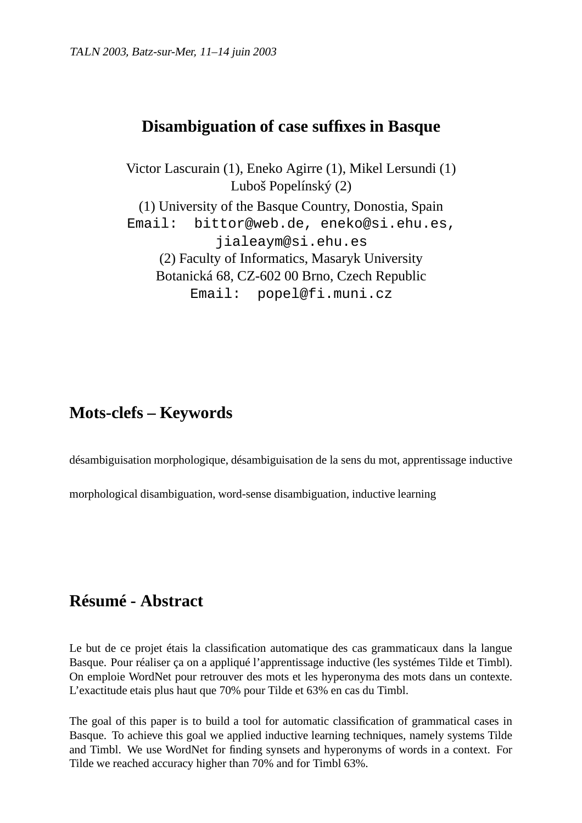## **Disambiguation of case suffixes in Basque**

Victor Lascurain (1), Eneko Agirre (1), Mikel Lersundi (1) Luboš Popelínský (2) (1) University of the Basque Country, Donostia, Spain Email: bittor@web.de, eneko@si.ehu.es, jialeaym@si.ehu.es (2) Faculty of Informatics, Masaryk University Botanická 68, CZ-602 00 Brno, Czech Republic Email: popel@fi.muni.cz

## **Mots-clefs – Keywords**

désambiguisation morphologique, désambiguisation de la sens du mot, apprentissage inductive

morphological disambiguation, word-sense disambiguation, inductive learning

## **Résumé - Abstract**

Le but de ce projet étais la classification automatique des cas grammaticaux dans la langue Basque. Pour réaliser ça on a appliqué l'apprentissage inductive (les systémes Tilde et Timbl). On emploie WordNet pour retrouver des mots et les hyperonyma des mots dans un contexte. L'exactitude etais plus haut que 70% pour Tilde et 63% en cas du Timbl.

The goal of this paper is to build a tool for automatic classification of grammatical cases in Basque. To achieve this goal we applied inductive learning techniques, namely systems Tilde and Timbl. We use WordNet for finding synsets and hyperonyms of words in a context. For Tilde we reached accuracy higher than 70% and for Timbl 63%.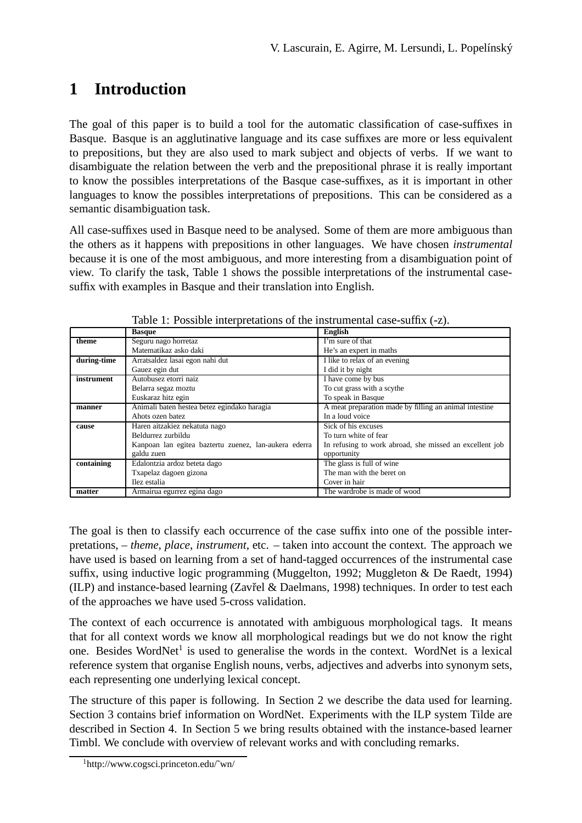# **1 Introduction**

The goal of this paper is to build a tool for the automatic classification of case-suffixes in Basque. Basque is an agglutinative language and its case suffixes are more or less equivalent to prepositions, but they are also used to mark subject and objects of verbs. If we want to disambiguate the relation between the verb and the prepositional phrase it is really important to know the possibles interpretations of the Basque case-suffixes, as it is important in other languages to know the possibles interpretations of prepositions. This can be considered as a semantic disambiguation task.

All case-suffixes used in Basque need to be analysed. Some of them are more ambiguous than the others as it happens with prepositions in other languages. We have chosen *instrumental* because it is one of the most ambiguous, and more interesting from a disambiguation point of view. To clarify the task, Table 1 shows the possible interpretations of the instrumental casesuffix with examples in Basque and their translation into English.

|             | <b>Basque</b>                                         | English                                                 |
|-------------|-------------------------------------------------------|---------------------------------------------------------|
| theme       | Seguru nago horretaz                                  | I'm sure of that                                        |
|             | Matematikaz asko daki                                 | He's an expert in maths                                 |
| during-time | Arratsaldez lasai egon nahi dut                       | I like to relax of an evening                           |
|             | Gauez egin dut                                        | I did it by night                                       |
| instrument  | Autobusez etorri naiz                                 | I have come by bus                                      |
|             | Belarra segaz moztu                                   | To cut grass with a scythe                              |
|             | Euskaraz hitz egin                                    | To speak in Basque                                      |
| manner      | Animali baten hestea betez egindako haragia           | A meat preparation made by filling an animal intestine  |
|             | Ahots ozen batez                                      | In a loud voice                                         |
| cause       | Haren aitzakiez nekatuta nago                         | Sick of his excuses                                     |
|             | Beldurrez zurbildu                                    | To turn white of fear                                   |
|             | Kanpoan lan egitea baztertu zuenez, lan-aukera ederra | In refusing to work abroad, she missed an excellent job |
|             | galdu zuen                                            | opportunity                                             |
| containing  | Edalontzia ardoz beteta dago                          | The glass is full of wine                               |
|             | Txapelaz dagoen gizona                                | The man with the beret on                               |
|             | Ilez estalia                                          | Cover in hair                                           |
| matter      | Armairua egurrez egina dago                           | The wardrobe is made of wood                            |

Table 1: Possible interpretations of the instrumental case-suffix (-z).

The goal is then to classify each occurrence of the case suffix into one of the possible interpretations, – *theme*, *place*, *instrument*, etc. – taken into account the context. The approach we have used is based on learning from a set of hand-tagged occurrences of the instrumental case suffix, using inductive logic programming (Muggelton, 1992; Muggleton & De Raedt, 1994) (ILP) and instance-based learning (Zavřel & Daelmans, 1998) techniques. In order to test each of the approaches we have used 5-cross validation.

The context of each occurrence is annotated with ambiguous morphological tags. It means that for all context words we know all morphological readings but we do not know the right one. Besides WordNet<sup>1</sup> is used to generalise the words in the context. WordNet is a lexical reference system that organise English nouns, verbs, adjectives and adverbs into synonym sets, each representing one underlying lexical concept.

The structure of this paper is following. In Section 2 we describe the data used for learning. Section 3 contains brief information on WordNet. Experiments with the ILP system Tilde are described in Section 4. In Section 5 we bring results obtained with the instance-based learner Timbl. We conclude with overview of relevant works and with concluding remarks.

<sup>1</sup>http://www.cogsci.princeton.edu/˜wn/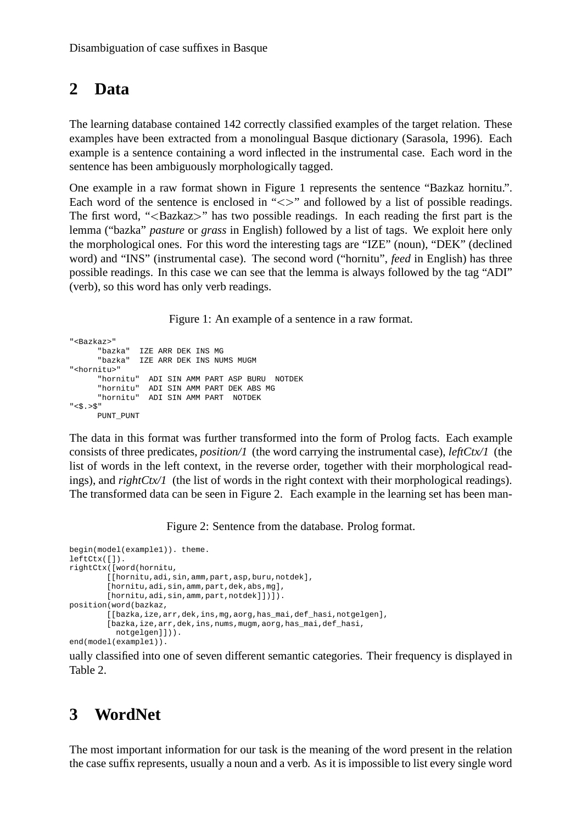# **2 Data**

The learning database contained 142 correctly classified examples of the target relation. These examples have been extracted from a monolingual Basque dictionary (Sarasola, 1996). Each example is a sentence containing a word inflected in the instrumental case. Each word in the sentence has been ambiguously morphologically tagged.

One example in a raw format shown in Figure 1 represents the sentence "Bazkaz hornitu.". Each word of the sentence is enclosed in " $\lt>$ " and followed by a list of possible readings. The first word, "<Bazkaz>" has two possible readings. In each reading the first part is the lemma ("bazka" *pasture* or *grass* in English) followed by a list of tags. We exploit here only the morphological ones. For this word the interesting tags are "IZE" (noun), "DEK" (declined word) and "INS" (instrumental case). The second word ("hornitu", *feed* in English) has three possible readings. In this case we can see that the lemma is always followed by the tag "ADI" (verb), so this word has only verb readings.

Figure 1: An example of a sentence in a raw format.

```
"<Bazkaz>"
      "bazka" IZE ARR DEK INS MG
      "bazka" IZE ARR DEK INS NUMS MUGM
"<hornitu>"
      "hornitu" ADI SIN AMM PART ASP BURU NOTDEK
      "hornitu" ADI SIN AMM PART DEK ABS MG
     "hornitu" ADI SIN AMM PART NOTDEK
" < S . > S"PUNT_PUNT
```
The data in this format was further transformed into the form of Prolog facts. Each example consists of three predicates, *position/1* (the word carrying the instrumental case), *leftCtx/1* (the list of words in the left context, in the reverse order, together with their morphological readings), and *rightCtx/1* (the list of words in the right context with their morphological readings). The transformed data can be seen in Figure 2. Each example in the learning set has been man-

Figure 2: Sentence from the database. Prolog format.

```
begin(model(example1)). theme.
leftCtx([]).
rightCtx([word(hornitu,
        [[hornitu,adi,sin,amm,part,asp,buru,notdek],
        [hornitu,adi,sin,amm,part,dek,abs,mg],
        [hornitu,adi,sin,amm,part,notdek]])]).
position(word(bazkaz,
        [[bazka,ize,arr,dek,ins,mg,aorg,has_mai,def_hasi,notgelgen],
        [bazka,ize,arr,dek,ins,nums,mugm,aorg,has mai,def hasi,
          notgelgen]])).
end(model(example1)).
```
ually classified into one of seven different semantic categories. Their frequency is displayed in Table 2.

# **3 WordNet**

The most important information for our task is the meaning of the word present in the relation the case suffix represents, usually a noun and a verb. As it is impossible to list every single word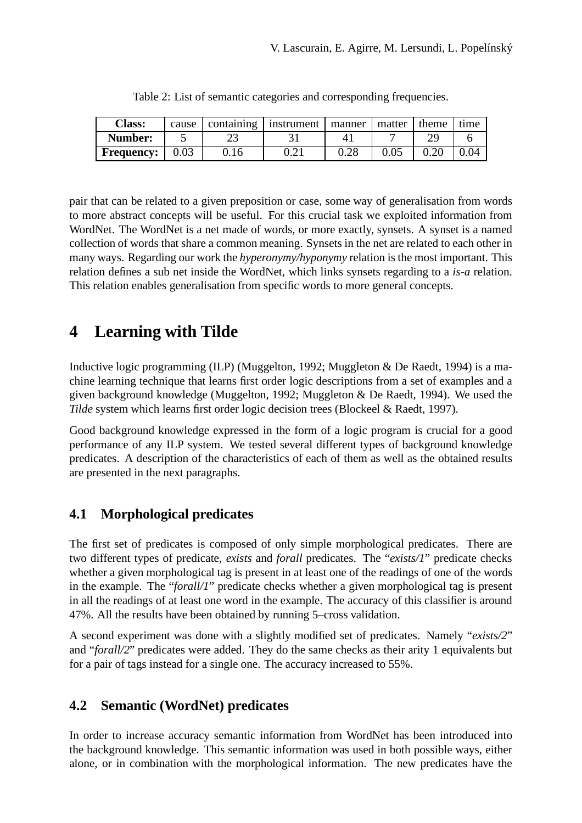| <b>Class:</b>     | cause | containing | instrument         | manner    | matter | theme | 'ıme |
|-------------------|-------|------------|--------------------|-----------|--------|-------|------|
| <b>Number:</b>    |       | رے         |                    | 4.        |        |       |      |
| <b>Frequency:</b> | 0.03  | J. 16      | $J \cdot \angle 1$ | ി<br>J.∠C |        |       | 0.04 |

|  | Table 2: List of semantic categories and corresponding frequencies. |  |
|--|---------------------------------------------------------------------|--|
|  |                                                                     |  |

pair that can be related to a given preposition or case, some way of generalisation from words to more abstract concepts will be useful. For this crucial task we exploited information from WordNet. The WordNet is a net made of words, or more exactly, synsets. A synset is a named collection of words that share a common meaning. Synsets in the net are related to each other in many ways. Regarding our work the *hyperonymy/hyponymy* relation is the most important. This relation defines a sub net inside the WordNet, which links synsets regarding to a *is-a* relation. This relation enables generalisation from specific words to more general concepts.

# **4 Learning with Tilde**

Inductive logic programming (ILP) (Muggelton, 1992; Muggleton & De Raedt, 1994) is a machine learning technique that learns first order logic descriptions from a set of examples and a given background knowledge (Muggelton, 1992; Muggleton & De Raedt, 1994). We used the *Tilde* system which learns first order logic decision trees (Blockeel & Raedt, 1997).

Good background knowledge expressed in the form of a logic program is crucial for a good performance of any ILP system. We tested several different types of background knowledge predicates. A description of the characteristics of each of them as well as the obtained results are presented in the next paragraphs.

### **4.1 Morphological predicates**

The first set of predicates is composed of only simple morphological predicates. There are two different types of predicate, *exists* and *forall* predicates. The "*exists/1*" predicate checks whether a given morphological tag is present in at least one of the readings of one of the words in the example. The "*forall/1*" predicate checks whether a given morphological tag is present in all the readings of at least one word in the example. The accuracy of this classifier is around 47%. All the results have been obtained by running 5–cross validation.

A second experiment was done with a slightly modified set of predicates. Namely "*exists/2*" and "*forall/2*" predicates were added. They do the same checks as their arity 1 equivalents but for a pair of tags instead for a single one. The accuracy increased to 55%.

### **4.2 Semantic (WordNet) predicates**

In order to increase accuracy semantic information from WordNet has been introduced into the background knowledge. This semantic information was used in both possible ways, either alone, or in combination with the morphological information. The new predicates have the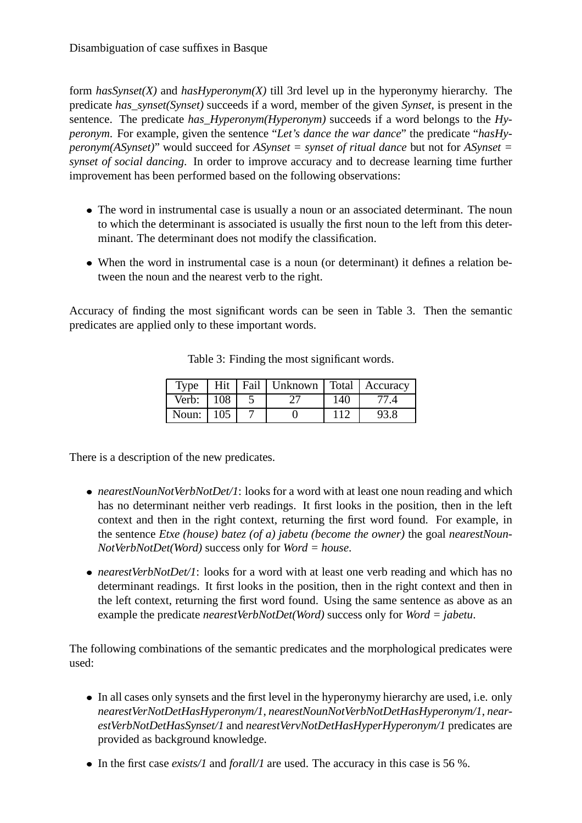form *hasSynset(X)* and *hasHyperonym(X)* till 3rd level up in the hyperonymy hierarchy. The predicate *has\_synset(Synset)* succeeds if a word, member of the given *Synset*, is present in the sentence. The predicate *has\_Hyperonym(Hyperonym)* succeeds if a word belongs to the *Hyperonym*. For example, given the sentence "*Let's dance the war dance*" the predicate "*hasHyperonym(ASynset)*" would succeed for *ASynset = synset of ritual dance* but not for *ASynset = synset of social dancing*. In order to improve accuracy and to decrease learning time further improvement has been performed based on the following observations:

- The word in instrumental case is usually a noun or an associated determinant. The noun to which the determinant is associated is usually the first noun to the left from this determinant. The determinant does not modify the classification.
- When the word in instrumental case is a noun (or determinant) it defines a relation between the noun and the nearest verb to the right.

Accuracy of finding the most significant words can be seen in Table 3. Then the semantic predicates are applied only to these important words.

| Type      |     | Hit   Fail   Unknown   Total   Accuracy |     |      |
|-----------|-----|-----------------------------------------|-----|------|
| Verb: 108 |     |                                         | 140 |      |
| Noun:     | 105 |                                         | 112 | 93.8 |

Table 3: Finding the most significant words.

There is a description of the new predicates.

- *nearestNounNotVerbNotDet/1*: looks for a word with at least one noun reading and which has no determinant neither verb readings. It first looks in the position, then in the left context and then in the right context, returning the first word found. For example, in the sentence *Etxe (house) batez (of a) jabetu (become the owner)* the goal *nearestNoun-NotVerbNotDet(Word)* success only for *Word = house*.
- *nearestVerbNotDet/1*: looks for a word with at least one verb reading and which has no determinant readings. It first looks in the position, then in the right context and then in the left context, returning the first word found. Using the same sentence as above as an example the predicate *nearestVerbNotDet(Word)* success only for *Word = jabetu*.

The following combinations of the semantic predicates and the morphological predicates were used:

- In all cases only synsets and the first level in the hyperonymy hierarchy are used, i.e. only *nearestVerNotDetHasHyperonym/1*, *nearestNounNotVerbNotDetHasHyperonym/1*, *nearestVerbNotDetHasSynset/1* and *nearestVervNotDetHasHyperHyperonym/1* predicates are provided as background knowledge.
- In the first case *exists/1* and *forall/1* are used. The accuracy in this case is 56 %.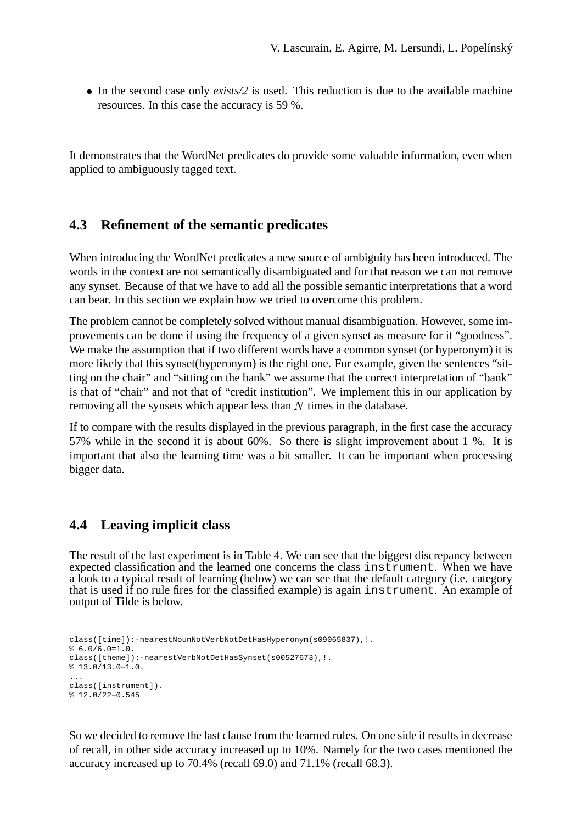• In the second case only *exists/2* is used. This reduction is due to the available machine resources. In this case the accuracy is 59 %.

It demonstrates that the WordNet predicates do provide some valuable information, even when applied to ambiguously tagged text.

#### **4.3 Refinement of the semantic predicates**

When introducing the WordNet predicates a new source of ambiguity has been introduced. The words in the context are not semantically disambiguated and for that reason we can not remove any synset. Because of that we have to add all the possible semantic interpretations that a word can bear. In this section we explain how we tried to overcome this problem.

The problem cannot be completely solved without manual disambiguation. However, some improvements can be done if using the frequency of a given synset as measure for it "goodness". We make the assumption that if two different words have a common synset (or hyperonym) it is more likely that this synset(hyperonym) is the right one. For example, given the sentences "sitting on the chair" and "sitting on the bank" we assume that the correct interpretation of "bank" is that of "chair" and not that of "credit institution". We implement this in our application by removing all the synsets which appear less than  $N$  times in the database.

If to compare with the results displayed in the previous paragraph, in the first case the accuracy 57% while in the second it is about 60%. So there is slight improvement about 1 %. It is important that also the learning time was a bit smaller. It can be important when processing bigger data.

#### **4.4 Leaving implicit class**

The result of the last experiment is in Table 4. We can see that the biggest discrepancy between expected classification and the learned one concerns the class instrument. When we have a look to a typical result of learning (below) we can see that the default category (i.e. category that is used if no rule fires for the classified example) is again instrument. An example of output of Tilde is below.

```
class([time]):-nearestNounNotVerbNotDetHasHyperonym(s09065837),!.
$6.0/6.0=1.0.class([theme]):-nearestVerbNotDetHasSynset(s00527673),!.
$13.0/13.0=1.0....
class([instrument]).
% 12.0/22=0.545
```
So we decided to remove the last clause from the learned rules. On one side it resultsin decrease of recall, in other side accuracy increased up to 10%. Namely for the two cases mentioned the accuracy increased up to 70.4% (recall 69.0) and 71.1% (recall 68.3).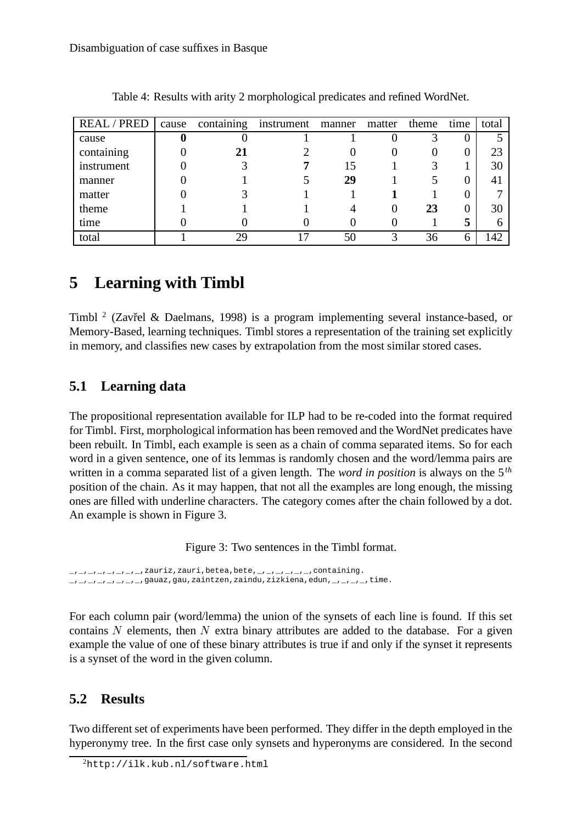| <b>REAL/PRED</b> | cause | containing | instrument | manner | matter | theme | time | total |
|------------------|-------|------------|------------|--------|--------|-------|------|-------|
| cause            |       |            |            |        |        |       |      |       |
| containing       |       |            |            |        |        |       |      | 23    |
| instrument       |       |            |            | 15     |        |       |      | 30    |
| manner           |       |            |            | 29     |        |       |      | 41    |
| matter           |       |            |            |        |        |       |      |       |
| theme            |       |            |            |        |        | 23    |      | 30    |
| time             |       |            |            |        |        |       | 5    |       |
| total            |       | 29         |            | 50     |        | 36    | h    | 142   |

Table 4: Results with arity 2 morphological predicates and refined WordNet.

## **5 Learning with Timbl**

Timbl<sup>2</sup> (Zavřel & Daelmans, 1998) is a program implementing several instance-based, or Memory-Based, learning techniques. Timbl stores a representation of the training set explicitly in memory, and classifies new cases by extrapolation from the most similar stored cases.

### **5.1 Learning data**

The propositional representation available for ILP had to be re-coded into the format required for Timbl. First, morphological information has been removed and the WordNet predicates have been rebuilt. In Timbl, each example is seen as a chain of comma separated items. So for each word in a given sentence, one of its lemmas is randomly chosen and the word/lemma pairs are written in a comma separated list of a given length. The *word in position* is always on the 5<sup>th</sup> position of the chain. As it may happen, that not all the examples are long enough, the missing ones are filled with underline characters. The category comes after the chain followed by a dot. An example is shown in Figure 3.

Figure 3: Two sentences in the Timbl format.

 $L_1$ ,  $L_2$ ,  $L_3$ ,  $L_4$ ,  $L_5$ ,  $L_7$ ,  $L_6$  and  $L_7$  and  $L_7$  betea, bete,  $L_7$ ,  $L_7$ ,  $L_7$ ,  $L_7$ ,  $L_7$ ,  $L_7$ ,  $L_7$ ,  $L_7$ ,  $L_7$ ,  $L_7$ ,  $L_7$ ,  $L_7$ ,  $L_7$ ,  $L_7$ ,  $L_7$ ,  $L_7$ ,  $L_7$ ,  $L_7$ ,  $L_7$ ,  $L_7$ ,  $\mu_{\ell}$ ,  $\mu_{\ell}$ ,  $\mu_{\ell}$ ,  $\mu_{\ell}$ ,  $\mu_{\ell}$  and  $z$ , gau, zaintzen, zaindu, zizkiena, edun,  $\mu_{\ell}$ ,  $\mu_{\ell}$ , time.

For each column pair (word/lemma) the union of the synsets of each line is found. If this set contains N elements, then N extra binary attributes are added to the database. For a given example the value of one of these binary attributes is true if and only if the synset it represents is a synset of the word in the given column.

### **5.2 Results**

Two different set of experiments have been performed. They differ in the depth employed in the hyperonymy tree. In the first case only synsets and hyperonyms are considered. In the second

<sup>2</sup>http://ilk.kub.nl/software.html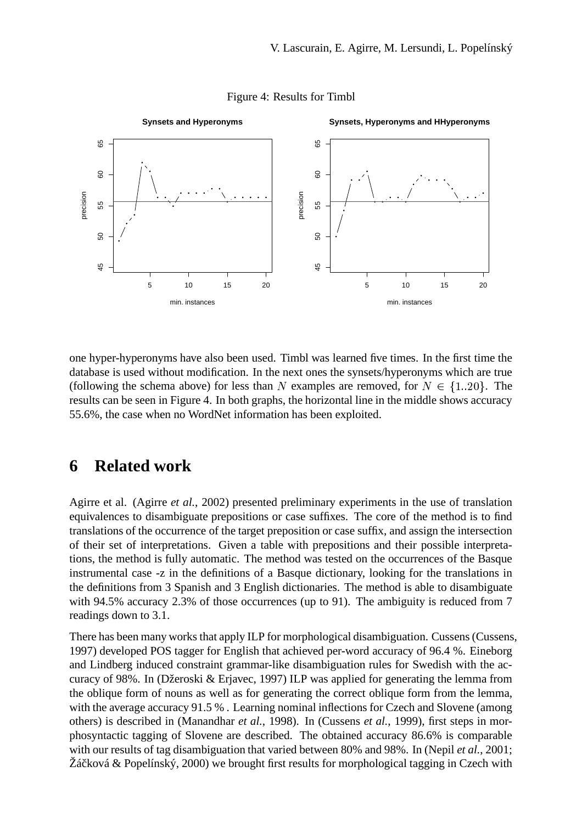



one hyper-hyperonyms have also been used. Timbl was learned five times. In the first time the database is used without modification. In the next ones the synsets/hyperonyms which are true (following the schema above) for less than N examples are removed, for  $N \in \{1..20\}$ . The results can be seen in Figure 4. In both graphs, the horizontal line in the middle shows accuracy 55.6%, the case when no WordNet information has been exploited.

## **6 Related work**

Agirre et al. (Agirre *et al.*, 2002) presented preliminary experiments in the use of translation equivalences to disambiguate prepositions or case suffixes. The core of the method is to find translations of the occurrence of the target preposition or case suffix, and assign the intersection of their set of interpretations. Given a table with prepositions and their possible interpretations, the method is fully automatic. The method was tested on the occurrences of the Basque instrumental case -z in the definitions of a Basque dictionary, looking for the translations in the definitions from 3 Spanish and 3 English dictionaries. The method is able to disambiguate with 94.5% accuracy 2.3% of those occurrences (up to 91). The ambiguity is reduced from 7 readings down to 3.1.

There has been many works that apply ILP for morphological disambiguation. Cussens (Cussens, 1997) developed POS tagger for English that achieved per-word accuracy of 96.4 %. Eineborg and Lindberg induced constraint grammar-like disambiguation rules for Swedish with the accuracy of 98%. In (Džeroski & Erjavec, 1997) ILP was applied for generating the lemma from the oblique form of nouns as well as for generating the correct oblique form from the lemma, with the average accuracy 91.5 %. Learning nominal inflections for Czech and Slovene (among others) is described in (Manandhar *et al.*, 1998). In (Cussens *et al.*, 1999), first steps in morphosyntactic tagging of Slovene are described. The obtained accuracy 86.6% is comparable with our results of tag disambiguation that varied between 80% and 98%. In (Nepil *et al.*, 2001;  $\check{Z}$ áčková & Popelínský, 2000) we brought first results for morphological tagging in Czech with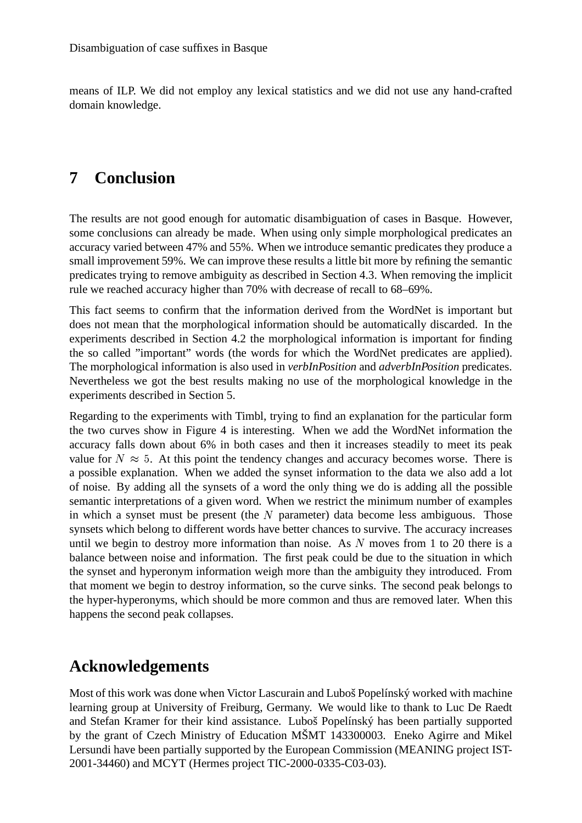means of ILP. We did not employ any lexical statistics and we did not use any hand-crafted domain knowledge.

# **7 Conclusion**

The results are not good enough for automatic disambiguation of cases in Basque. However, some conclusions can already be made. When using only simple morphological predicates an accuracy varied between 47% and 55%. When we introduce semantic predicates they produce a small improvement 59%. We can improve these results a little bit more by refining the semantic predicates trying to remove ambiguity as described in Section 4.3. When removing the implicit rule we reached accuracy higher than 70% with decrease of recall to 68–69%.

This fact seems to confirm that the information derived from the WordNet is important but does not mean that the morphological information should be automatically discarded. In the experiments described in Section 4.2 the morphological information is important for finding the so called "important" words (the words for which the WordNet predicates are applied). The morphological information is also used in *verbInPosition* and *adverbInPosition* predicates. Nevertheless we got the best results making no use of the morphological knowledge in the experiments described in Section 5.

Regarding to the experiments with Timbl, trying to find an explanation for the particular form the two curves show in Figure 4 is interesting. When we add the WordNet information the accuracy falls down about 6% in both cases and then it increases steadily to meet its peak value for  $N \approx 5$ . At this point the tendency changes and accuracy becomes worse. There is a possible explanation. When we added the synset information to the data we also add a lot of noise. By adding all the synsets of a word the only thing we do is adding all the possible semantic interpretations of a given word. When we restrict the minimum number of examples in which a synset must be present (the  $N$  parameter) data become less ambiguous. Those synsets which belong to different words have better chances to survive. The accuracy increases until we begin to destroy more information than noise. As  $N$  moves from 1 to 20 there is a balance between noise and information. The first peak could be due to the situation in which the synset and hyperonym information weigh more than the ambiguity they introduced. From that moment we begin to destroy information, so the curve sinks. The second peak belongs to the hyper-hyperonyms, which should be more common and thus are removed later. When this happens the second peak collapses.

## **Acknowledgements**

Most of this work was done when Victor Lascurain and Luboš Popelínský worked with machine learning group at University of Freiburg, Germany. We would like to thank to Luc De Raedt and Stefan Kramer for their kind assistance. Luboš Popelínský has been partially supported by the grant of Czech Ministry of Education MŠMT 143300003. Eneko Agirre and Mikel Lersundi have been partially supported by the European Commission (MEANING project IST-2001-34460) and MCYT (Hermes project TIC-2000-0335-C03-03).